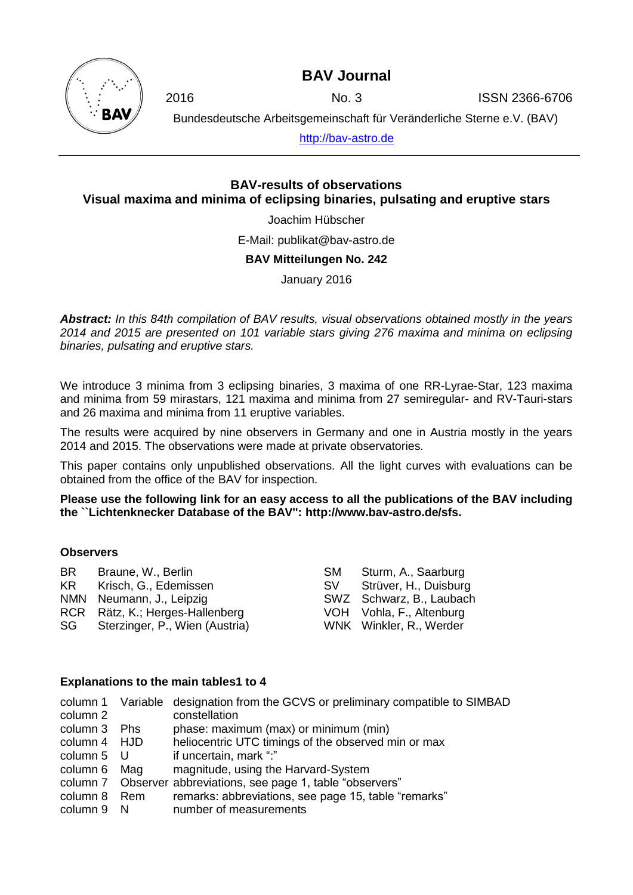**BAV Journal**

2016 No. 3 ISSN 2366-6706

Bundesdeutsche Arbeitsgemeinschaft für Veränderliche Sterne e.V. (BAV)

[http://bav-astro.de](http://bav-astro.de/)

## **BAV-results of observations Visual maxima and minima of eclipsing binaries, pulsating and eruptive stars**

Joachim Hübscher

E-Mail: publikat@bav-astro.de

#### **BAV Mitteilungen No. 242**

January 2016

*Abstract: In this 84th compilation of BAV results, visual observations obtained mostly in the years 2014 and 2015 are presented on 101 variable stars giving 276 maxima and minima on eclipsing binaries, pulsating and eruptive stars.*

We introduce 3 minima from 3 eclipsing binaries, 3 maxima of one RR-Lyrae-Star, 123 maxima and minima from 59 mirastars, 121 maxima and minima from 27 semiregular- and RV-Tauri-stars and 26 maxima and minima from 11 eruptive variables.

The results were acquired by nine observers in Germany and one in Austria mostly in the years 2014 and 2015. The observations were made at private observatories.

This paper contains only unpublished observations. All the light curves with evaluations can be obtained from the office of the BAV for inspection.

**Please use the following link for an easy access to all the publications of the BAV including the ``Lichtenknecker Database of the BAV'': http://www.bav-astro.de/sfs.**

#### **Observers**

| BR . | Braune, W., Berlin              | <b>SM</b> | Sturm, A., Saarburg      |
|------|---------------------------------|-----------|--------------------------|
|      | KR Krisch, G., Edemissen        | SV.       | Strüver, H., Duisburg    |
|      | NMN Neumann, J., Leipzig        |           | SWZ Schwarz, B., Laubach |
|      | RCR Rätz, K.; Herges-Hallenberg |           | VOH Vohla, F., Altenburg |
| SG   | Sterzinger, P., Wien (Austria)  |           | WNK Winkler, R., Werder  |

#### **Explanations to the main tables1 to 4**

|              |     | column 1 Variable designation from the GCVS or preliminary compatible to SIMBAD |
|--------------|-----|---------------------------------------------------------------------------------|
| column 2     |     | constellation                                                                   |
| column 3 Phs |     | phase: maximum (max) or minimum (min)                                           |
| column 4 HJD |     | heliocentric UTC timings of the observed min or max                             |
| column 5 U   |     | if uncertain, mark ":"                                                          |
| column 6     | Mag | magnitude, using the Harvard-System                                             |
|              |     | column 7 Observer abbreviations, see page 1, table "observers"                  |
| column 8 Rem |     | remarks: abbreviations, see page 15, table "remarks"                            |
| column 9 N   |     | number of measurements                                                          |
|              |     |                                                                                 |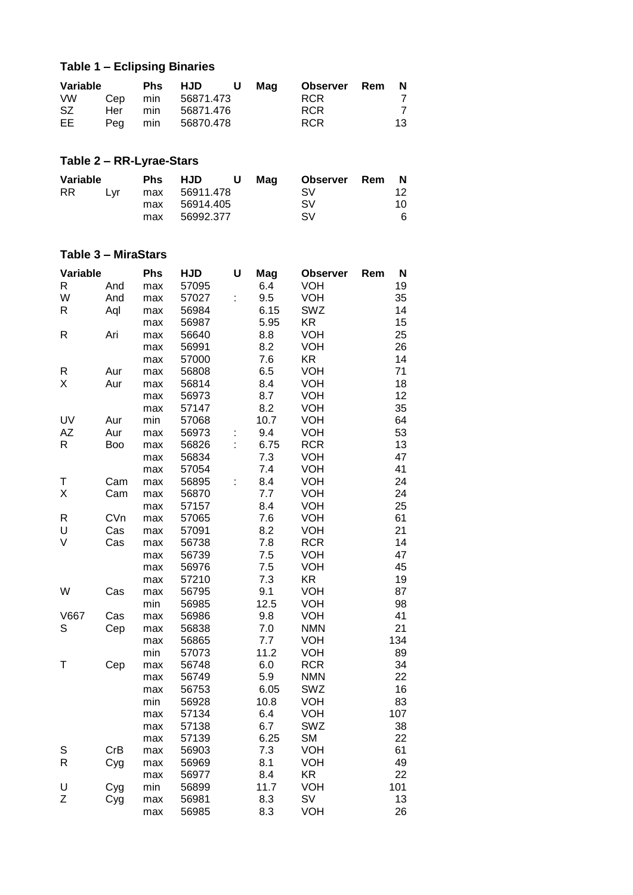# **Table 1 – Eclipsing Binaries**

| Variable |         | <b>Phs</b> | HJD<br><b>U</b>   | Maq | Observer Rem N |    |
|----------|---------|------------|-------------------|-----|----------------|----|
| VW.      |         |            | Cep min 56871.473 |     | <b>RCR</b>     |    |
| SZ.      | Her min |            | 56871.476         |     | <b>RCR</b>     | 7  |
| EE       | Peg min |            | 56870.478         |     | <b>RCR</b>     | 13 |

# **Table 2 – RR-Lyrae-Stars**

| Variable |     | <b>Phs</b> | <b>HJD</b>    | U. | Mag | <b>Observer</b> Rem | N   |
|----------|-----|------------|---------------|----|-----|---------------------|-----|
| RR.      | Lvr |            | max 56911.478 |    |     | SV.                 | 12  |
|          |     | max        | 56914.405     |    |     | <b>SV</b>           | 10. |
|          |     | max        | 56992.377     |    |     | SV                  | 6   |

## **Table 3 – MiraStars**

| Variable |     | <b>Phs</b> | <b>HJD</b> | U  | Mag  | <b>Observer</b> | Rem | N   |
|----------|-----|------------|------------|----|------|-----------------|-----|-----|
| R        | And | max        | 57095      |    | 6.4  | <b>VOH</b>      |     | 19  |
| W        | And | max        | 57027      | Ì. | 9.5  | VOH             |     | 35  |
| R        | Aql | max        | 56984      |    | 6.15 | <b>SWZ</b>      |     | 14  |
|          |     | max        | 56987      |    | 5.95 | <b>KR</b>       |     | 15  |
| R        | Ari | max        | 56640      |    | 8.8  | <b>VOH</b>      |     | 25  |
|          |     | max        | 56991      |    | 8.2  | <b>VOH</b>      |     | 26  |
|          |     | max        | 57000      |    | 7.6  | <b>KR</b>       |     | 14  |
| R        | Aur | max        | 56808      |    | 6.5  | <b>VOH</b>      |     | 71  |
| Χ        | Aur | max        | 56814      |    | 8.4  | <b>VOH</b>      |     | 18  |
|          |     | max        | 56973      |    | 8.7  | <b>VOH</b>      |     | 12  |
|          |     | max        | 57147      |    | 8.2  | <b>VOH</b>      |     | 35  |
| UV       | Aur | min        | 57068      |    | 10.7 | VOH             |     | 64  |
| AZ       | Aur | max        | 56973      | İ, | 9.4  | <b>VOH</b>      |     | 53  |
| R        | Boo | max        | 56826      | Ì. | 6.75 | <b>RCR</b>      |     | 13  |
|          |     | max        | 56834      |    | 7.3  | <b>VOH</b>      |     | 47  |
|          |     | max        | 57054      |    | 7.4  | <b>VOH</b>      |     | 41  |
| T        | Cam | max        | 56895      | t  | 8.4  | VOH             |     | 24  |
| X        | Cam | max        | 56870      |    | 7.7  | <b>VOH</b>      |     | 24  |
|          |     | max        | 57157      |    | 8.4  | <b>VOH</b>      |     | 25  |
| R        | CVn | max        | 57065      |    | 7.6  | <b>VOH</b>      |     | 61  |
| U        | Cas | max        | 57091      |    | 8.2  | <b>VOH</b>      |     | 21  |
| V        | Cas | max        | 56738      |    | 7.8  | <b>RCR</b>      |     | 14  |
|          |     | max        | 56739      |    | 7.5  | <b>VOH</b>      |     | 47  |
|          |     | max        | 56976      |    | 7.5  | <b>VOH</b>      |     | 45  |
|          |     | max        | 57210      |    | 7.3  | <b>KR</b>       |     | 19  |
| W        | Cas | max        | 56795      |    | 9.1  | <b>VOH</b>      |     | 87  |
|          |     | min        | 56985      |    | 12.5 | VOH             |     | 98  |
| V667     | Cas | max        | 56986      |    | 9.8  | <b>VOH</b>      |     | 41  |
| S        | Cep | max        | 56838      |    | 7.0  | <b>NMN</b>      |     | 21  |
|          |     | max        | 56865      |    | 7.7  | <b>VOH</b>      |     | 134 |
|          |     | min        | 57073      |    | 11.2 | <b>VOH</b>      |     | 89  |
| Τ        | Cep | max        | 56748      |    | 6.0  | <b>RCR</b>      |     | 34  |
|          |     | max        | 56749      |    | 5.9  | <b>NMN</b>      |     | 22  |
|          |     | max        | 56753      |    | 6.05 | SWZ             |     | 16  |
|          |     | min        | 56928      |    | 10.8 | <b>VOH</b>      |     | 83  |
|          |     | max        | 57134      |    | 6.4  | <b>VOH</b>      |     | 107 |
|          |     | max        | 57138      |    | 6.7  | SWZ             |     | 38  |
|          |     | max        | 57139      |    | 6.25 | <b>SM</b>       |     | 22  |
| S        | CrB | max        | 56903      |    | 7.3  | <b>VOH</b>      |     | 61  |
| R        | Cyg | max        | 56969      |    | 8.1  | <b>VOH</b>      |     | 49  |
|          |     | max        | 56977      |    | 8.4  | <b>KR</b>       |     | 22  |
| U        | Cyg | min        | 56899      |    | 11.7 | <b>VOH</b>      |     | 101 |
| Z        | Cyg | max        | 56981      |    | 8.3  | SV              |     | 13  |
|          |     | max        | 56985      |    | 8.3  | VOH             |     | 26  |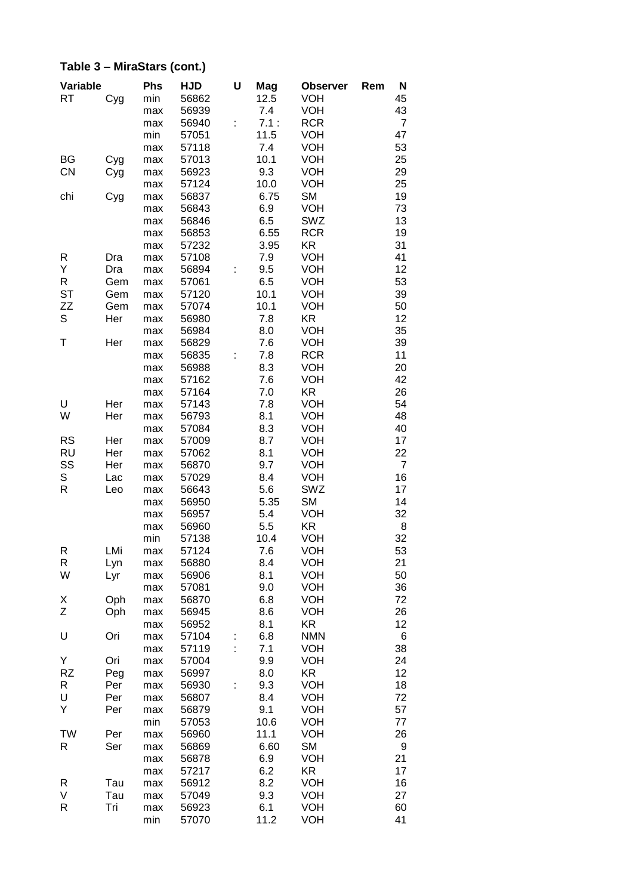| Variable    |     | <b>Phs</b> | <b>HJD</b> | U | Mag  | <b>Observer</b> | Rem | N              |
|-------------|-----|------------|------------|---|------|-----------------|-----|----------------|
| <b>RT</b>   | Cyg | min        | 56862      |   | 12.5 | <b>VOH</b>      |     | 45             |
|             |     | max        | 56939      |   | 7.4  | <b>VOH</b>      |     | 43             |
|             |     | max        | 56940      | t | 7.1: | <b>RCR</b>      |     | 7              |
|             |     | min        | 57051      |   | 11.5 | <b>VOH</b>      |     | 47             |
|             |     | max        | 57118      |   | 7.4  | <b>VOH</b>      |     | 53             |
| BG          |     |            | 57013      |   | 10.1 | <b>VOH</b>      |     | 25             |
|             | Cyg | max        |            |   |      |                 |     |                |
| <b>CN</b>   | Cyg | max        | 56923      |   | 9.3  | <b>VOH</b>      |     | 29             |
|             |     | max        | 57124      |   | 10.0 | <b>VOH</b>      |     | 25             |
| chi         | Cyg | max        | 56837      |   | 6.75 | <b>SM</b>       |     | 19             |
|             |     | max        | 56843      |   | 6.9  | <b>VOH</b>      |     | 73             |
|             |     | max        | 56846      |   | 6.5  | SWZ             |     | 13             |
|             |     | max        | 56853      |   | 6.55 | <b>RCR</b>      |     | 19             |
|             |     | max        | 57232      |   | 3.95 | <b>KR</b>       |     | 31             |
| R           | Dra | max        | 57108      |   | 7.9  | <b>VOH</b>      |     | 41             |
| Υ           | Dra | max        | 56894      | t | 9.5  | <b>VOH</b>      |     | 12             |
| $\mathsf R$ | Gem | max        | 57061      |   | 6.5  | <b>VOH</b>      |     | 53             |
| <b>ST</b>   | Gem | max        | 57120      |   | 10.1 | <b>VOH</b>      |     | 39             |
| ZZ          | Gem | max        | 57074      |   | 10.1 | <b>VOH</b>      |     | 50             |
| S           | Her | max        | 56980      |   | 7.8  | <b>KR</b>       |     | 12             |
|             |     | max        | 56984      |   | 8.0  | VOH             |     | 35             |
| Τ           | Her | max        | 56829      |   | 7.6  | <b>VOH</b>      |     | 39             |
|             |     | max        | 56835      |   | 7.8  | <b>RCR</b>      |     | 11             |
|             |     | max        | 56988      |   | 8.3  | <b>VOH</b>      |     | 20             |
|             |     | max        | 57162      |   | 7.6  | <b>VOH</b>      |     | 42             |
|             |     | max        | 57164      |   | 7.0  | KR              |     | 26             |
| U           | Her | max        | 57143      |   | 7.8  | <b>VOH</b>      |     | 54             |
| W           | Her | max        | 56793      |   | 8.1  | <b>VOH</b>      |     | 48             |
|             |     | max        | 57084      |   | 8.3  | <b>VOH</b>      |     | 40             |
| <b>RS</b>   | Her | max        | 57009      |   | 8.7  | <b>VOH</b>      |     | 17             |
| <b>RU</b>   | Her | max        | 57062      |   | 8.1  | <b>VOH</b>      |     | 22             |
| SS          | Her | max        | 56870      |   | 9.7  | <b>VOH</b>      |     | $\overline{7}$ |
| S           | Lac | max        | 57029      |   | 8.4  | VOH             |     | 16             |
| R           | Leo |            | 56643      |   | 5.6  | SWZ             |     | 17             |
|             |     | max        | 56950      |   | 5.35 | <b>SM</b>       |     | 14             |
|             |     | max        |            |   |      |                 |     |                |
|             |     | max        | 56957      |   | 5.4  | <b>VOH</b>      |     | 32             |
|             |     | max        | 56960      |   | 5.5  | KR              |     | 8              |
|             |     | min        | 57138      |   | 10.4 | <b>VOH</b>      |     | 32             |
| R           | LMi | max        | 57124      |   | 7.6  | VOH             |     | 53             |
| R           | Lyn | max        | 56880      |   | 8.4  | VOH             |     | 21             |
| W           | Lyr | max        | 56906      |   | 8.1  | <b>VOH</b>      |     | 50             |
|             |     | max        | 57081      |   | 9.0  | <b>VOH</b>      |     | 36             |
| Χ           | Oph | max        | 56870      |   | 6.8  | <b>VOH</b>      |     | 72             |
| Ζ           | Oph | max        | 56945      |   | 8.6  | <b>VOH</b>      |     | 26             |
|             |     | max        | 56952      |   | 8.1  | KR              |     | 12             |
| U           | Ori | max        | 57104      |   | 6.8  | <b>NMN</b>      |     | 6              |
|             |     | max        | 57119      |   | 7.1  | <b>VOH</b>      |     | 38             |
| Υ           | Ori | max        | 57004      |   | 9.9  | <b>VOH</b>      |     | 24             |
| <b>RZ</b>   | Peg | max        | 56997      |   | 8.0  | <b>KR</b>       |     | 12             |
| R           | Per | max        | 56930      | t | 9.3  | <b>VOH</b>      |     | 18             |
| U           | Per | max        | 56807      |   | 8.4  | <b>VOH</b>      |     | 72             |
| Y           | Per | max        | 56879      |   | 9.1  | <b>VOH</b>      |     | 57             |
|             |     | min        | 57053      |   | 10.6 | <b>VOH</b>      |     | 77             |
| TW          | Per | max        | 56960      |   | 11.1 | <b>VOH</b>      |     | 26             |
| R           | Ser | max        | 56869      |   | 6.60 | <b>SM</b>       |     | 9              |
|             |     | max        | 56878      |   | 6.9  | <b>VOH</b>      |     | 21             |
|             |     | max        | 57217      |   | 6.2  | KR              |     | 17             |
| R           | Tau | max        | 56912      |   | 8.2  | <b>VOH</b>      |     | 16             |
| V           | Tau | max        | 57049      |   | 9.3  | <b>VOH</b>      |     | 27             |
| R           | Tri | max        | 56923      |   | 6.1  | <b>VOH</b>      |     | 60             |
|             |     | min        | 57070      |   | 11.2 | <b>VOH</b>      |     | 41             |
|             |     |            |            |   |      |                 |     |                |

# **Table 3 – MiraStars (cont.)**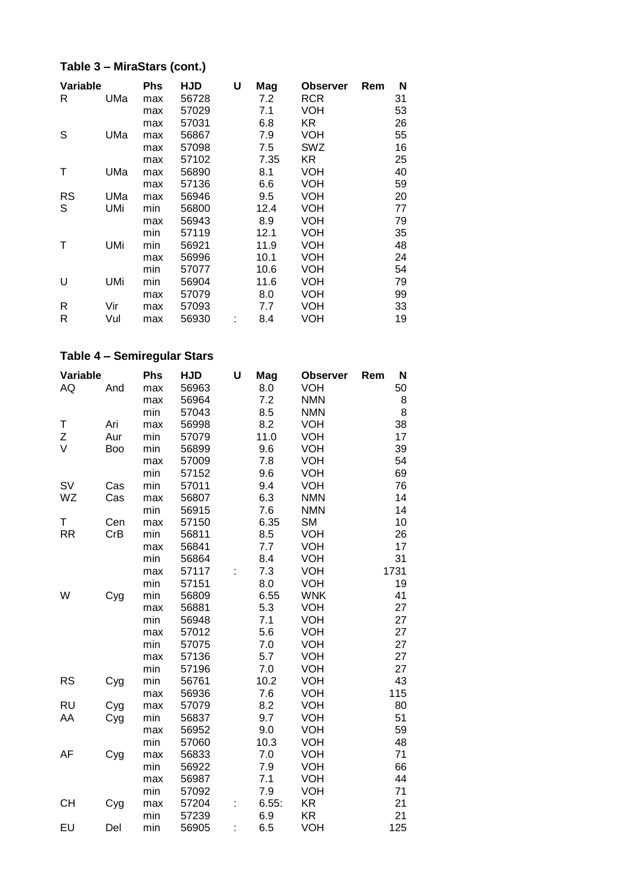## **Table 3 – MiraStars (cont.)**

| Variable |     | Phs | HJD   | U | Mag  | <b>Observer</b> | Rem | N  |
|----------|-----|-----|-------|---|------|-----------------|-----|----|
| R        | UMa | max | 56728 |   | 7.2  | <b>RCR</b>      |     | 31 |
|          |     | max | 57029 |   | 7.1  | VOH             |     | 53 |
|          |     | max | 57031 |   | 6.8  | KR.             |     | 26 |
| S        | UMa | max | 56867 |   | 7.9  | VOH             |     | 55 |
|          |     | max | 57098 |   | 7.5  | SWZ             |     | 16 |
|          |     | max | 57102 |   | 7.35 | KR.             |     | 25 |
| Т        | UMa | max | 56890 |   | 8.1  | VOH             |     | 40 |
|          |     | max | 57136 |   | 6.6  | <b>VOH</b>      |     | 59 |
| RS       | UMa | max | 56946 |   | 9.5  | VOH             |     | 20 |
| S        | UMi | min | 56800 |   | 12.4 | VOH             |     | 77 |
|          |     | max | 56943 |   | 8.9  | VOH             |     | 79 |
|          |     | min | 57119 |   | 12.1 | VOH             |     | 35 |
| Τ        | UMi | min | 56921 |   | 11.9 | VOH             |     | 48 |
|          |     | max | 56996 |   | 10.1 | VOH             |     | 24 |
|          |     | min | 57077 |   | 10.6 | VOH             |     | 54 |
| U        | UMi | min | 56904 |   | 11.6 | <b>VOH</b>      |     | 79 |
|          |     | max | 57079 |   | 8.0  | VOH             |     | 99 |
| R        | Vir | max | 57093 |   | 7.7  | VOH             |     | 33 |
| R        | Vul | max | 56930 |   | 8.4  | VOH             |     | 19 |

## **Table 4 – Semiregular Stars**

| Variable  |     | Phs | <b>HJD</b> | U | Mag   | <b>Observer</b> | N<br>Rem |
|-----------|-----|-----|------------|---|-------|-----------------|----------|
| AQ        | And | max | 56963      |   | 8.0   | <b>VOH</b>      | 50       |
|           |     | max | 56964      |   | 7.2   | <b>NMN</b>      | 8        |
|           |     | min | 57043      |   | 8.5   | <b>NMN</b>      | 8        |
| Τ         | Ari | max | 56998      |   | 8.2   | <b>VOH</b>      | 38       |
| Ζ         | Aur | min | 57079      |   | 11.0  | <b>VOH</b>      | 17       |
| V         | Boo | min | 56899      |   | 9.6   | <b>VOH</b>      | 39       |
|           |     | max | 57009      |   | 7.8   | <b>VOH</b>      | 54       |
|           |     | min | 57152      |   | 9.6   | <b>VOH</b>      | 69       |
| SV        | Cas | min | 57011      |   | 9.4   | <b>VOH</b>      | 76       |
| WZ        | Cas | max | 56807      |   | 6.3   | <b>NMN</b>      | 14       |
|           |     | min | 56915      |   | 7.6   | <b>NMN</b>      | 14       |
| Т         | Cen | max | 57150      |   | 6.35  | <b>SM</b>       | 10       |
| <b>RR</b> | CrB | min | 56811      |   | 8.5   | <b>VOH</b>      | 26       |
|           |     | max | 56841      |   | 7.7   | <b>VOH</b>      | 17       |
|           |     | min | 56864      |   | 8.4   | <b>VOH</b>      | 31       |
|           |     | max | 57117      |   | 7.3   | <b>VOH</b>      | 1731     |
|           |     | min | 57151      |   | 8.0   | <b>VOH</b>      | 19       |
| W         | Cyg | min | 56809      |   | 6.55  | <b>WNK</b>      | 41       |
|           |     | max | 56881      |   | 5.3   | <b>VOH</b>      | 27       |
|           |     | min | 56948      |   | 7.1   | <b>VOH</b>      | 27       |
|           |     | max | 57012      |   | 5.6   | <b>VOH</b>      | 27       |
|           |     | min | 57075      |   | 7.0   | <b>VOH</b>      | 27       |
|           |     | max | 57136      |   | 5.7   | <b>VOH</b>      | 27       |
|           |     | min | 57196      |   | 7.0   | <b>VOH</b>      | 27       |
| <b>RS</b> | Cyg | min | 56761      |   | 10.2  | <b>VOH</b>      | 43       |
|           |     | max | 56936      |   | 7.6   | <b>VOH</b>      | 115      |
| <b>RU</b> | Cyg | max | 57079      |   | 8.2   | <b>VOH</b>      | 80       |
| AA        | Cyg | min | 56837      |   | 9.7   | <b>VOH</b>      | 51       |
|           |     | max | 56952      |   | 9.0   | <b>VOH</b>      | 59       |
|           |     | min | 57060      |   | 10.3  | <b>VOH</b>      | 48       |
| AF        | Cyg | max | 56833      |   | 7.0   | <b>VOH</b>      | 71       |
|           |     | min | 56922      |   | 7.9   | <b>VOH</b>      | 66       |
|           |     | max | 56987      |   | 7.1   | <b>VOH</b>      | 44       |
|           |     | min | 57092      |   | 7.9   | <b>VOH</b>      | 71       |
| <b>CH</b> | Cyg | max | 57204      |   | 6.55: | <b>KR</b>       | 21       |
|           |     | min | 57239      |   | 6.9   | KR              | 21       |
| EU        | Del | min | 56905      |   | 6.5   | VOH             | 125      |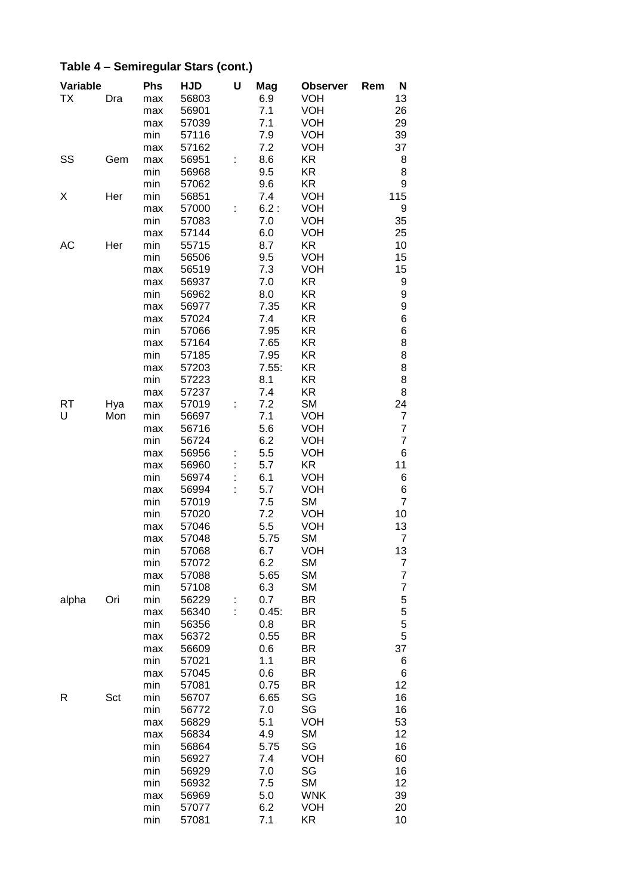#### **Variable Phs HJD U Mag Observer Rem N** TX Dra max 56803 6.9 VOH 13 max 56901 7.1 VOH 26<br>max 57039 7.1 VOH 29 max 57039 7.1 VOH 29<br>min 57116 7.9 VOH 39 min 57116 max 57162 7.2 VOH 37<br>max 56951 : 8.6 KR 3 SS Gem max 56951 : 8.6 KR 68 min 56968 9.5 KR 8 min 57062 9.6 KR 9<br>min 56851 7.4 VOH 115 X Her min 56851 7.4 VOH 115 max 57000 : 6.2 : VOH 9 min 57083 7.0 VOH 35 max 57144 6.0 VOH 25 AC Her min 55715 8.7 KR 10 min 56506 9.5 VOH 15 max 56519 7.3 VOH 15 max 56937 7.0 KR 9 min 56962 8.0 KR 9<br>max 56977 7.35 KR 9 max 56977 7.35 KR 9 max 57024 7.4 KR 6 min 57066 7.95 KR<br>max 57164 7.65 KR 8 max 57164 7.65 KR 8 min 57185 7.95 KR max 57203 7.55: KR 8 min 57223 8.1 KR 8 max 57237 7.4 KR 8 RT Hya max 57019 : 7.2 SM 24 U Mon min 56697 7.1 VOH 7 max 56716 5.6 VOH 7<br>min 56724 6.2 VOH 7 min 56724 6.2 VOH max 56956 : 5.5 VOH 6 max 56960 : 5.7 KR 11 min 56974 : 6.1 VOH 6 max 56994 : 5.7 VOH 6 min 57019 7.5 SM 7<br>min 57020 7.2 VOH 10 min 57020 7.2 VOH 10 max 57046 5.5 VOH 13 max 57048 5.75 SM 7 min 57068 6.7 VOH 13 min 57072 6.2 SM 7<br>max 57088 5.65 SM 7 max 57088 5.65 SM 7<br>min 57108 6.3 SM 7 min 57108 6.3 SM 7<br>min 56229 : 0.7 BR 5 alpha Ori min 56229 : 0.7 BR 5 max 56340 : 0.45: BR 5 min 56356 0.8 BR<br>max 56372 0.55 BR 5 max 56372 0.55 BR 5 max 56609 0.6 BR 37<br>min 57021 1.1 BR 6 min 57021 1.1 BR max 57045 0.6 BR 6 min 57081 0.75 BR R Sct min 56707 6.65 SG 16 min 56772 7.0 SG 16 max 56829 5.1 VOH 53 max 56834 4.9 SM 12 min 56864 5.75 SG 16 min 56927 7.4 VOH 60 min 56929 7.0 SG 16 min 56932 7.5 SM 12 max 56969 5.0 WNK 39<br>min 57077 6.2 VOH 20

min 57077 6.2 VOH

min 57081 7.1 KR 10

### **Table 4 – Semiregular Stars (cont.)**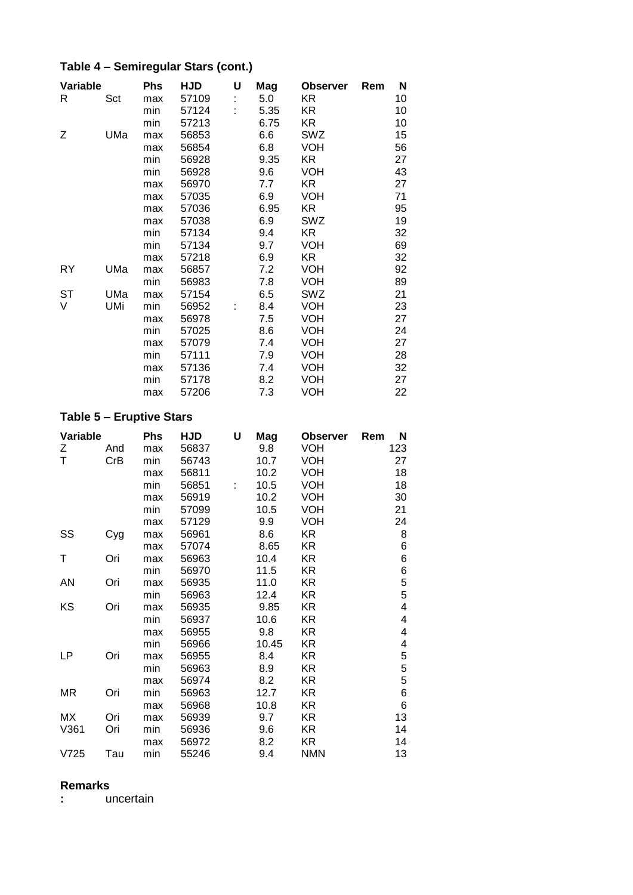# **Table 4 – Semiregular Stars (cont.)**

| Variable  |     | Phs | <b>HJD</b> | U | Mag  | <b>Observer</b> | Rem | N  |
|-----------|-----|-----|------------|---|------|-----------------|-----|----|
| R         | Sct | max | 57109      |   | 5.0  | KR.             |     | 10 |
|           |     | min | 57124      |   | 5.35 | KR.             |     | 10 |
|           |     | min | 57213      |   | 6.75 | KR.             |     | 10 |
| Ζ         | UMa | max | 56853      |   | 6.6  | SWZ             |     | 15 |
|           |     | max | 56854      |   | 6.8  | <b>VOH</b>      |     | 56 |
|           |     | min | 56928      |   | 9.35 | KR.             |     | 27 |
|           |     | min | 56928      |   | 9.6  | <b>VOH</b>      |     | 43 |
|           |     | max | 56970      |   | 7.7  | KR.             |     | 27 |
|           |     | max | 57035      |   | 6.9  | <b>VOH</b>      |     | 71 |
|           |     | max | 57036      |   | 6.95 | KR.             |     | 95 |
|           |     | max | 57038      |   | 6.9  | SWZ             |     | 19 |
|           |     | min | 57134      |   | 9.4  | KR.             |     | 32 |
|           |     | min | 57134      |   | 9.7  | VOH             |     | 69 |
|           |     | max | 57218      |   | 6.9  | KR.             |     | 32 |
| RY        | UMa | max | 56857      |   | 7.2  | <b>VOH</b>      |     | 92 |
|           |     | min | 56983      |   | 7.8  | <b>VOH</b>      |     | 89 |
| <b>ST</b> | UMa | max | 57154      |   | 6.5  | SWZ             |     | 21 |
| V         | UMi | min | 56952      |   | 8.4  | <b>VOH</b>      |     | 23 |
|           |     | max | 56978      |   | 7.5  | <b>VOH</b>      |     | 27 |
|           |     | min | 57025      |   | 8.6  | <b>VOH</b>      |     | 24 |
|           |     | max | 57079      |   | 7.4  | <b>VOH</b>      |     | 27 |
|           |     | min | 57111      |   | 7.9  | <b>VOH</b>      |     | 28 |
|           |     | max | 57136      |   | 7.4  | <b>VOH</b>      |     | 32 |
|           |     | min | 57178      |   | 8.2  | <b>VOH</b>      |     | 27 |
|           |     | max | 57206      |   | 7.3  | VOH             |     | 22 |

# **Table 5 – Eruptive Stars**

| Variable |     | <b>Phs</b> | HJD   | U | Mag   | <b>Observer</b> | N<br>Rem |
|----------|-----|------------|-------|---|-------|-----------------|----------|
| Ζ        | And | max        | 56837 |   | 9.8   | <b>VOH</b>      | 123      |
| Τ        | CrB | min        | 56743 |   | 10.7  | <b>VOH</b>      | 27       |
|          |     | max        | 56811 |   | 10.2  | <b>VOH</b>      | 18       |
|          |     | min        | 56851 | ۲ | 10.5  | <b>VOH</b>      | 18       |
|          |     | max        | 56919 |   | 10.2  | <b>VOH</b>      | 30       |
|          |     | min        | 57099 |   | 10.5  | <b>VOH</b>      | 21       |
|          |     | max        | 57129 |   | 9.9   | <b>VOH</b>      | 24       |
| SS       | Cyg | max        | 56961 |   | 8.6   | KR              | 8        |
|          |     | max        | 57074 |   | 8.65  | KR              | 6        |
| Т        | Ori | max        | 56963 |   | 10.4  | KR              | 6        |
|          |     | min        | 56970 |   | 11.5  | KR              | 6        |
| AN       | Ori | max        | 56935 |   | 11.0  | KR              | 5        |
|          |     | min        | 56963 |   | 12.4  | KR.             | 5        |
| KS       | Ori | max        | 56935 |   | 9.85  | KR              | 4        |
|          |     | min        | 56937 |   | 10.6  | KR              | 4        |
|          |     | max        | 56955 |   | 9.8   | KR              | 4        |
|          |     | min        | 56966 |   | 10.45 | KR              | 4        |
| LP       | Ori | max        | 56955 |   | 8.4   | KR              | 5        |
|          |     | min        | 56963 |   | 8.9   | KR              | 5        |
|          |     | max        | 56974 |   | 8.2   | KR              | 5        |
| MR       | Ori | min        | 56963 |   | 12.7  | KR.             | 6        |
|          |     | max        | 56968 |   | 10.8  | KR              | 6        |
| МX       | Ori | max        | 56939 |   | 9.7   | KR              | 13       |
| V361     | Ori | min        | 56936 |   | 9.6   | KR              | 14       |
|          |     | max        | 56972 |   | 8.2   | KR              | 14       |
| V725     | Tau | min        | 55246 |   | 9.4   | <b>NMN</b>      | 13       |

#### **Remarks**

**:** uncertain